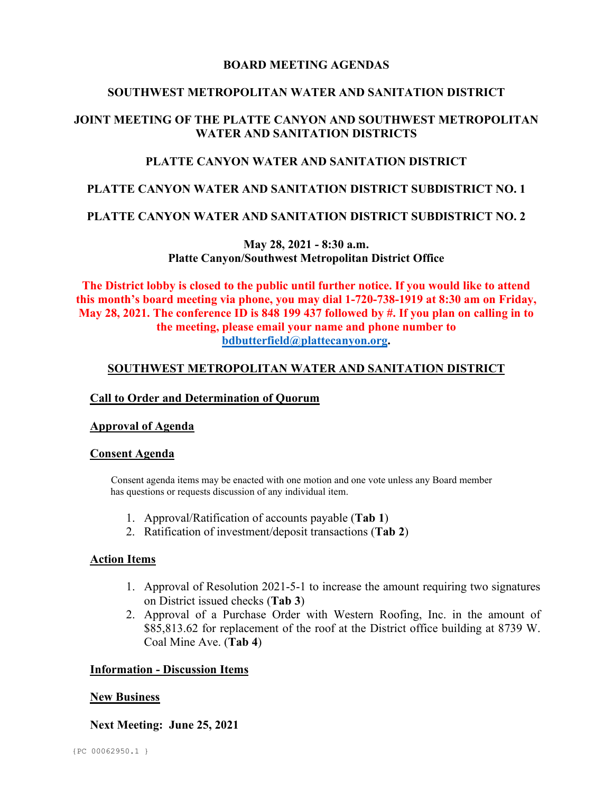# **BOARD MEETING AGENDAS**

# **SOUTHWEST METROPOLITAN WATER AND SANITATION DISTRICT**

# **JOINT MEETING OF THE PLATTE CANYON AND SOUTHWEST METROPOLITAN WATER AND SANITATION DISTRICTS**

# **PLATTE CANYON WATER AND SANITATION DISTRICT**

# **PLATTE CANYON WATER AND SANITATION DISTRICT SUBDISTRICT NO. 1**

### **PLATTE CANYON WATER AND SANITATION DISTRICT SUBDISTRICT NO. 2**

**May 28, 2021 - 8:30 a.m. Platte Canyon/Southwest Metropolitan District Office**

**The District lobby is closed to the public until further notice. If you would like to attend this month's board meeting via phone, you may dial 1-720-738-1919 at 8:30 am on Friday, May 28, 2021. The conference ID is 848 199 437 followed by #. If you plan on calling in to the meeting, please email your name and phone number to [bdbutterfield@plattecanyon.org.](mailto:bdbutterfield@plattecanyon.org)**

# **SOUTHWEST METROPOLITAN WATER AND SANITATION DISTRICT**

## **Call to Order and Determination of Quorum**

### **Approval of Agenda**

### **Consent Agenda**

 Consent agenda items may be enacted with one motion and one vote unless any Board member has questions or requests discussion of any individual item.

- 1. Approval/Ratification of accounts payable (**Tab 1**)
- 2. Ratification of investment/deposit transactions (**Tab 2**)

### **Action Items**

- 1. Approval of Resolution 2021-5-1 to increase the amount requiring two signatures on District issued checks (**Tab 3**)
- 2. Approval of a Purchase Order with Western Roofing, Inc. in the amount of \$85,813.62 for replacement of the roof at the District office building at 8739 W. Coal Mine Ave. (**Tab 4**)

### **Information - Discussion Items**

### **New Business**

**Next Meeting: June 25, 2021**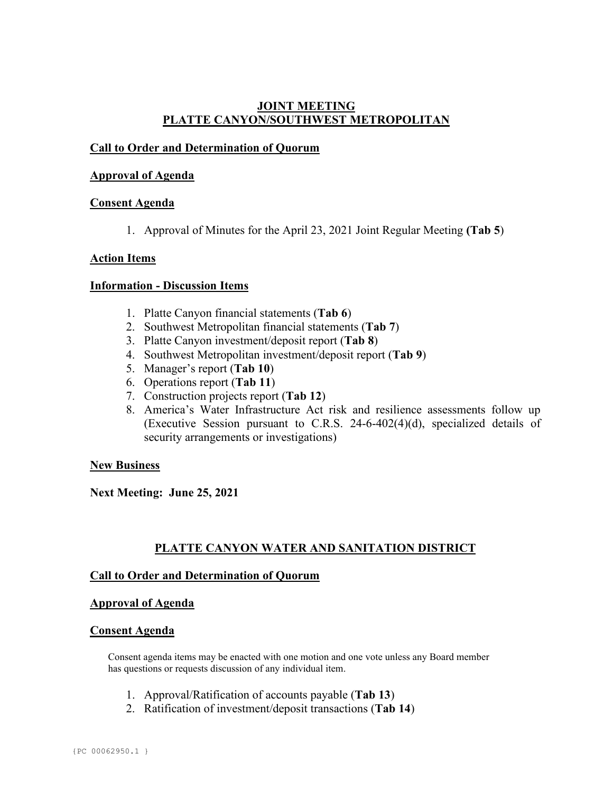# **JOINT MEETING PLATTE CANYON/SOUTHWEST METROPOLITAN**

# **Call to Order and Determination of Quorum**

## **Approval of Agenda**

## **Consent Agenda**

1. Approval of Minutes for the April 23, 2021 Joint Regular Meeting **(Tab 5**)

### **Action Items**

### **Information - Discussion Items**

- 1. Platte Canyon financial statements (**Tab 6**)
- 2. Southwest Metropolitan financial statements (**Tab 7**)
- 3. Platte Canyon investment/deposit report (**Tab 8**)
- 4. Southwest Metropolitan investment/deposit report (**Tab 9**)
- 5. Manager's report (**Tab 10**)
- 6. Operations report (**Tab 11**)
- 7. Construction projects report (**Tab 12**)
- 8. America's Water Infrastructure Act risk and resilience assessments follow up (Executive Session pursuant to C.R.S. 24-6-402(4)(d), specialized details of security arrangements or investigations)

### **New Business**

**Next Meeting: June 25, 2021**

# **PLATTE CANYON WATER AND SANITATION DISTRICT**

# **Call to Order and Determination of Quorum**

### **Approval of Agenda**

### **Consent Agenda**

Consent agenda items may be enacted with one motion and one vote unless any Board member has questions or requests discussion of any individual item.

- 1. Approval/Ratification of accounts payable (**Tab 13**)
- 2. Ratification of investment/deposit transactions (**Tab 14**)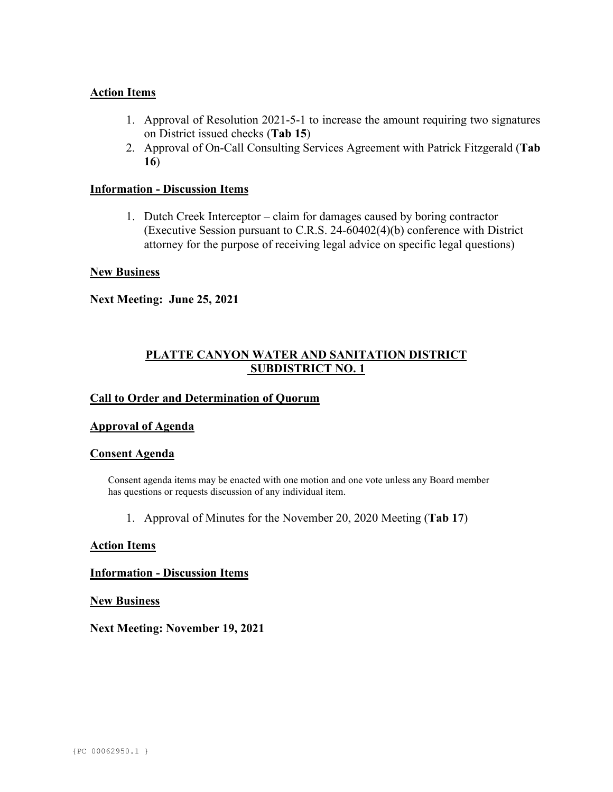## **Action Items**

- 1. Approval of Resolution 2021-5-1 to increase the amount requiring two signatures on District issued checks (**Tab 15**)
- 2. Approval of On-Call Consulting Services Agreement with Patrick Fitzgerald (**Tab 16**)

### **Information - Discussion Items**

1. Dutch Creek Interceptor – claim for damages caused by boring contractor (Executive Session pursuant to C.R.S. 24-60402(4)(b) conference with District attorney for the purpose of receiving legal advice on specific legal questions)

## **New Business**

**Next Meeting: June 25, 2021**

# **PLATTE CANYON WATER AND SANITATION DISTRICT SUBDISTRICT NO. 1**

## **Call to Order and Determination of Quorum**

### **Approval of Agenda**

### **Consent Agenda**

Consent agenda items may be enacted with one motion and one vote unless any Board member has questions or requests discussion of any individual item.

1. Approval of Minutes for the November 20, 2020 Meeting (**Tab 17**)

### **Action Items**

### **Information - Discussion Items**

**New Business**

**Next Meeting: November 19, 2021**